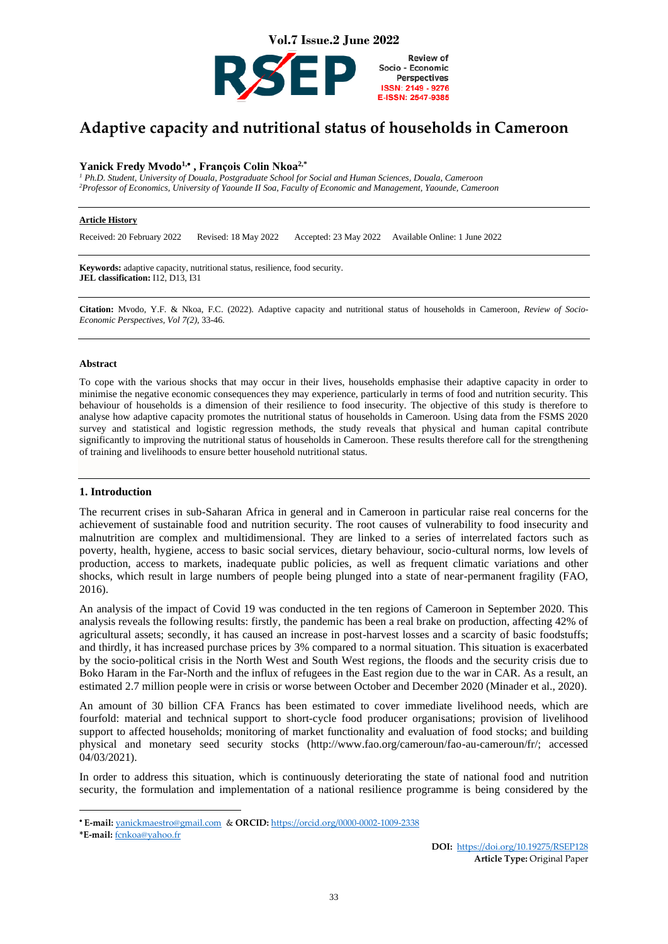

# **Adaptive capacity and nutritional status of households in Cameroon**

# **Yanick Fredy Mvodo1,**• **, François Colin Nkoa2,\***

*<sup>1</sup> Ph.D. Student, University of Douala, Postgraduate School for Social and Human Sciences, Douala, Cameroon <sup>2</sup>Professor of Economics, University of Yaounde II Soa, Faculty of Economic and Management, Yaounde, Cameroon*

#### **Article History**

Received: 20 February 2022 Revised: 18 May 2022 Accepted: 23 May 2022 Available Online: 1 June 2022

**Keywords:** adaptive capacity, nutritional status, resilience, food security. **JEL classification:** I12, D13, I31

**Citation:** Mvodo, Y.F. & Nkoa, F.C. (2022). Adaptive capacity and nutritional status of households in Cameroon, *Review of Socio-Economic Perspectives, Vol 7(2)*, 33-46.

#### **Abstract**

To cope with the various shocks that may occur in their lives, households emphasise their adaptive capacity in order to minimise the negative economic consequences they may experience, particularly in terms of food and nutrition security. This behaviour of households is a dimension of their resilience to food insecurity. The objective of this study is therefore to analyse how adaptive capacity promotes the nutritional status of households in Cameroon. Using data from the FSMS 2020 survey and statistical and logistic regression methods, the study reveals that physical and human capital contribute significantly to improving the nutritional status of households in Cameroon. These results therefore call for the strengthening of training and livelihoods to ensure better household nutritional status.

### **1. Introduction**

The recurrent crises in sub-Saharan Africa in general and in Cameroon in particular raise real concerns for the achievement of sustainable food and nutrition security. The root causes of vulnerability to food insecurity and malnutrition are complex and multidimensional. They are linked to a series of interrelated factors such as poverty, health, hygiene, access to basic social services, dietary behaviour, socio-cultural norms, low levels of production, access to markets, inadequate public policies, as well as frequent climatic variations and other shocks, which result in large numbers of people being plunged into a state of near-permanent fragility (FAO, 2016).

An analysis of the impact of Covid 19 was conducted in the ten regions of Cameroon in September 2020. This analysis reveals the following results: firstly, the pandemic has been a real brake on production, affecting 42% of agricultural assets; secondly, it has caused an increase in post-harvest losses and a scarcity of basic foodstuffs; and thirdly, it has increased purchase prices by 3% compared to a normal situation. This situation is exacerbated by the socio-political crisis in the North West and South West regions, the floods and the security crisis due to Boko Haram in the Far-North and the influx of refugees in the East region due to the war in CAR. As a result, an estimated 2.7 million people were in crisis or worse between October and December 2020 (Minader et al., 2020).

An amount of 30 billion CFA Francs has been estimated to cover immediate livelihood needs, which are fourfold: material and technical support to short-cycle food producer organisations; provision of livelihood support to affected households; monitoring of market functionality and evaluation of food stocks; and building physical and monetary seed security stocks (http://www.fao.org/cameroun/fao-au-cameroun/fr/; accessed 04/03/2021).

In order to address this situation, which is continuously deteriorating the state of national food and nutrition security, the formulation and implementation of a national resilience programme is being considered by the

**\*E-mail:** [fcnkoa@yahoo.fr](mailto:fcnkoa@yahoo.fr)

<sup>•</sup> **E-mail:** [yanickmaestro@gmail.com](mailto:yanickmaestro@gmail.com) & **ORCID:** [https://orcid.org/0000-0002-1009-2338](https://orcid.org/0000-0002-5117-0419)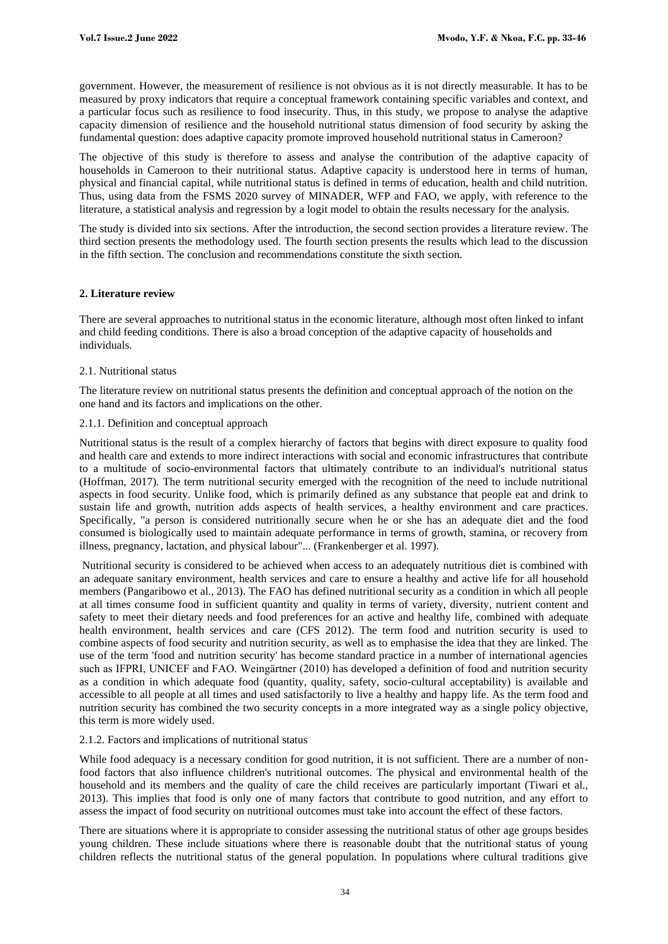government. However, the measurement of resilience is not obvious as it is not directly measurable. It has to be measured by proxy indicators that require a conceptual framework containing specific variables and context, and a particular focus such as resilience to food insecurity. Thus, in this study, we propose to analyse the adaptive capacity dimension of resilience and the household nutritional status dimension of food security by asking the fundamental question: does adaptive capacity promote improved household nutritional status in Cameroon?

The objective of this study is therefore to assess and analyse the contribution of the adaptive capacity of households in Cameroon to their nutritional status. Adaptive capacity is understood here in terms of human, physical and financial capital, while nutritional status is defined in terms of education, health and child nutrition. Thus, using data from the FSMS 2020 survey of MINADER, WFP and FAO, we apply, with reference to the literature, a statistical analysis and regression by a logit model to obtain the results necessary for the analysis.

The study is divided into six sections. After the introduction, the second section provides a literature review. The third section presents the methodology used. The fourth section presents the results which lead to the discussion in the fifth section. The conclusion and recommendations constitute the sixth section.

### **2. Literature review**

There are several approaches to nutritional status in the economic literature, although most often linked to infant and child feeding conditions. There is also a broad conception of the adaptive capacity of households and individuals.

#### 2.1. Nutritional status

The literature review on nutritional status presents the definition and conceptual approach of the notion on the one hand and its factors and implications on the other.

### 2.1.1. Definition and conceptual approach

Nutritional status is the result of a complex hierarchy of factors that begins with direct exposure to quality food and health care and extends to more indirect interactions with social and economic infrastructures that contribute to a multitude of socio-environmental factors that ultimately contribute to an individual's nutritional status (Hoffman, 2017). The term nutritional security emerged with the recognition of the need to include nutritional aspects in food security. Unlike food, which is primarily defined as any substance that people eat and drink to sustain life and growth, nutrition adds aspects of health services, a healthy environment and care practices. Specifically, "a person is considered nutritionally secure when he or she has an adequate diet and the food consumed is biologically used to maintain adequate performance in terms of growth, stamina, or recovery from illness, pregnancy, lactation, and physical labour"... (Frankenberger et al. 1997).

Nutritional security is considered to be achieved when access to an adequately nutritious diet is combined with an adequate sanitary environment, health services and care to ensure a healthy and active life for all household members (Pangaribowo et al., 2013). The FAO has defined nutritional security as a condition in which all people at all times consume food in sufficient quantity and quality in terms of variety, diversity, nutrient content and safety to meet their dietary needs and food preferences for an active and healthy life, combined with adequate health environment, health services and care (CFS 2012). The term food and nutrition security is used to combine aspects of food security and nutrition security, as well as to emphasise the idea that they are linked. The use of the term 'food and nutrition security' has become standard practice in a number of international agencies such as IFPRI, UNICEF and FAO. Weingärtner (2010) has developed a definition of food and nutrition security as a condition in which adequate food (quantity, quality, safety, socio-cultural acceptability) is available and accessible to all people at all times and used satisfactorily to live a healthy and happy life. As the term food and nutrition security has combined the two security concepts in a more integrated way as a single policy objective, this term is more widely used.

#### 2.1.2. Factors and implications of nutritional status

While food adequacy is a necessary condition for good nutrition, it is not sufficient. There are a number of nonfood factors that also influence children's nutritional outcomes. The physical and environmental health of the household and its members and the quality of care the child receives are particularly important (Tiwari et al., 2013). This implies that food is only one of many factors that contribute to good nutrition, and any effort to assess the impact of food security on nutritional outcomes must take into account the effect of these factors.

There are situations where it is appropriate to consider assessing the nutritional status of other age groups besides young children. These include situations where there is reasonable doubt that the nutritional status of young children reflects the nutritional status of the general population. In populations where cultural traditions give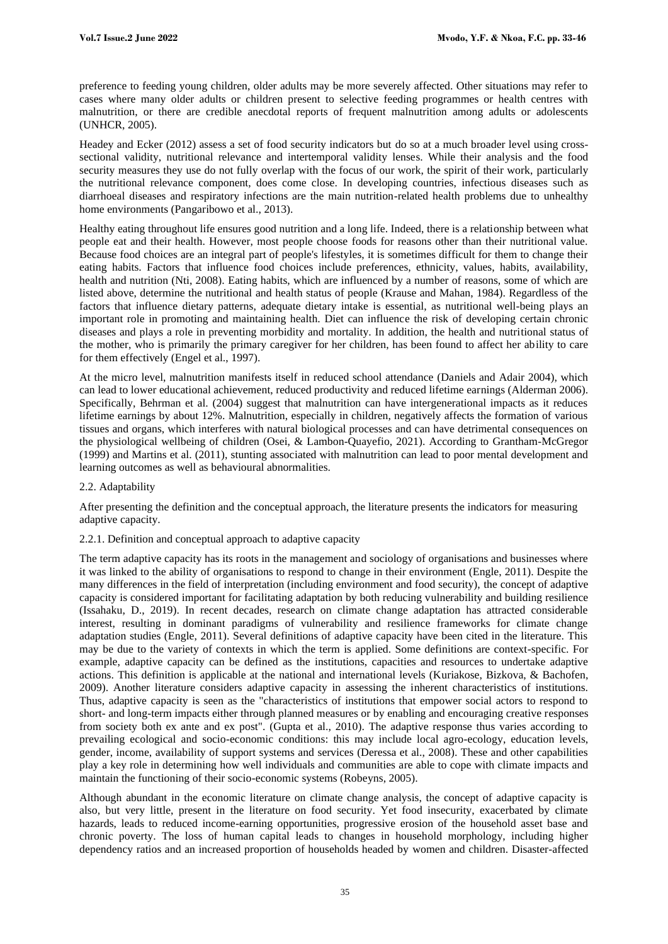preference to feeding young children, older adults may be more severely affected. Other situations may refer to cases where many older adults or children present to selective feeding programmes or health centres with malnutrition, or there are credible anecdotal reports of frequent malnutrition among adults or adolescents (UNHCR, 2005).

Headey and Ecker (2012) assess a set of food security indicators but do so at a much broader level using crosssectional validity, nutritional relevance and intertemporal validity lenses. While their analysis and the food security measures they use do not fully overlap with the focus of our work, the spirit of their work, particularly the nutritional relevance component, does come close. In developing countries, infectious diseases such as diarrhoeal diseases and respiratory infections are the main nutrition-related health problems due to unhealthy home environments (Pangaribowo et al., 2013).

Healthy eating throughout life ensures good nutrition and a long life. Indeed, there is a relationship between what people eat and their health. However, most people choose foods for reasons other than their nutritional value. Because food choices are an integral part of people's lifestyles, it is sometimes difficult for them to change their eating habits. Factors that influence food choices include preferences, ethnicity, values, habits, availability, health and nutrition (Nti, 2008). Eating habits, which are influenced by a number of reasons, some of which are listed above, determine the nutritional and health status of people (Krause and Mahan, 1984). Regardless of the factors that influence dietary patterns, adequate dietary intake is essential, as nutritional well-being plays an important role in promoting and maintaining health. Diet can influence the risk of developing certain chronic diseases and plays a role in preventing morbidity and mortality. In addition, the health and nutritional status of the mother, who is primarily the primary caregiver for her children, has been found to affect her ability to care for them effectively (Engel et al., 1997).

At the micro level, malnutrition manifests itself in reduced school attendance (Daniels and Adair 2004), which can lead to lower educational achievement, reduced productivity and reduced lifetime earnings (Alderman 2006). Specifically, Behrman et al. (2004) suggest that malnutrition can have intergenerational impacts as it reduces lifetime earnings by about 12%. Malnutrition, especially in children, negatively affects the formation of various tissues and organs, which interferes with natural biological processes and can have detrimental consequences on the physiological wellbeing of children (Osei, & Lambon-Quayefio, 2021). According to Grantham-McGregor (1999) and Martins et al. (2011), stunting associated with malnutrition can lead to poor mental development and learning outcomes as well as behavioural abnormalities.

### 2.2. Adaptability

After presenting the definition and the conceptual approach, the literature presents the indicators for measuring adaptive capacity.

# 2.2.1. Definition and conceptual approach to adaptive capacity

The term adaptive capacity has its roots in the management and sociology of organisations and businesses where it was linked to the ability of organisations to respond to change in their environment (Engle, 2011). Despite the many differences in the field of interpretation (including environment and food security), the concept of adaptive capacity is considered important for facilitating adaptation by both reducing vulnerability and building resilience (Issahaku, D., 2019). In recent decades, research on climate change adaptation has attracted considerable interest, resulting in dominant paradigms of vulnerability and resilience frameworks for climate change adaptation studies (Engle, 2011). Several definitions of adaptive capacity have been cited in the literature. This may be due to the variety of contexts in which the term is applied. Some definitions are context-specific. For example, adaptive capacity can be defined as the institutions, capacities and resources to undertake adaptive actions. This definition is applicable at the national and international levels (Kuriakose, Bizkova, & Bachofen, 2009). Another literature considers adaptive capacity in assessing the inherent characteristics of institutions. Thus, adaptive capacity is seen as the "characteristics of institutions that empower social actors to respond to short- and long-term impacts either through planned measures or by enabling and encouraging creative responses from society both ex ante and ex post". (Gupta et al., 2010). The adaptive response thus varies according to prevailing ecological and socio-economic conditions: this may include local agro-ecology, education levels, gender, income, availability of support systems and services (Deressa et al., 2008). These and other capabilities play a key role in determining how well individuals and communities are able to cope with climate impacts and maintain the functioning of their socio-economic systems (Robeyns, 2005).

Although abundant in the economic literature on climate change analysis, the concept of adaptive capacity is also, but very little, present in the literature on food security. Yet food insecurity, exacerbated by climate hazards, leads to reduced income-earning opportunities, progressive erosion of the household asset base and chronic poverty. The loss of human capital leads to changes in household morphology, including higher dependency ratios and an increased proportion of households headed by women and children. Disaster-affected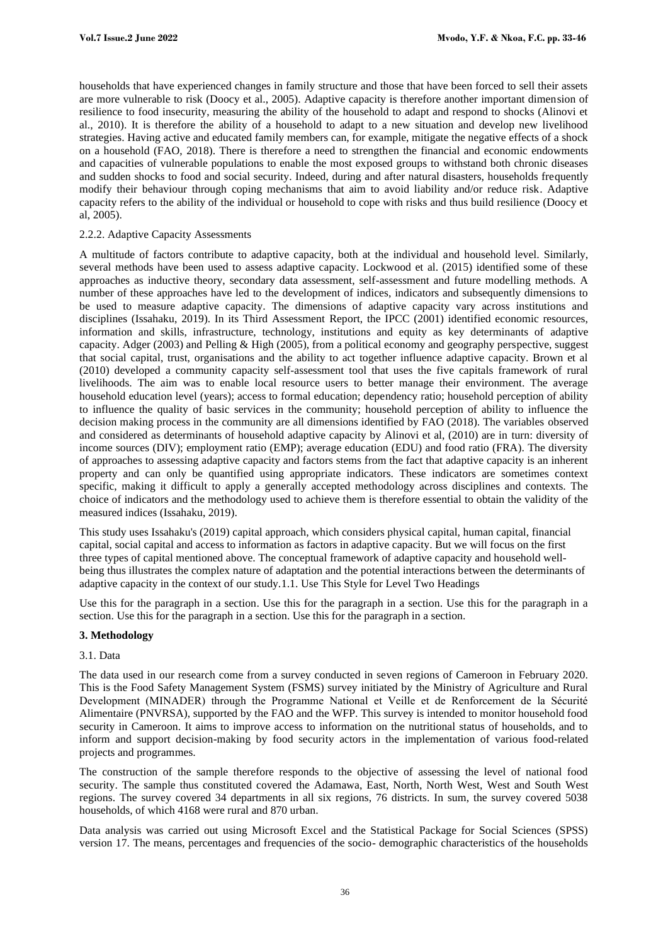households that have experienced changes in family structure and those that have been forced to sell their assets are more vulnerable to risk (Doocy et al., 2005). Adaptive capacity is therefore another important dimension of resilience to food insecurity, measuring the ability of the household to adapt and respond to shocks (Alinovi et al., 2010). It is therefore the ability of a household to adapt to a new situation and develop new livelihood strategies. Having active and educated family members can, for example, mitigate the negative effects of a shock on a household (FAO, 2018). There is therefore a need to strengthen the financial and economic endowments and capacities of vulnerable populations to enable the most exposed groups to withstand both chronic diseases and sudden shocks to food and social security. Indeed, during and after natural disasters, households frequently modify their behaviour through coping mechanisms that aim to avoid liability and/or reduce risk. Adaptive capacity refers to the ability of the individual or household to cope with risks and thus build resilience (Doocy et al, 2005).

### 2.2.2. Adaptive Capacity Assessments

A multitude of factors contribute to adaptive capacity, both at the individual and household level. Similarly, several methods have been used to assess adaptive capacity. Lockwood et al. (2015) identified some of these approaches as inductive theory, secondary data assessment, self-assessment and future modelling methods. A number of these approaches have led to the development of indices, indicators and subsequently dimensions to be used to measure adaptive capacity. The dimensions of adaptive capacity vary across institutions and disciplines (Issahaku, 2019). In its Third Assessment Report, the IPCC (2001) identified economic resources, information and skills, infrastructure, technology, institutions and equity as key determinants of adaptive capacity. Adger (2003) and Pelling & High (2005), from a political economy and geography perspective, suggest that social capital, trust, organisations and the ability to act together influence adaptive capacity. Brown et al (2010) developed a community capacity self-assessment tool that uses the five capitals framework of rural livelihoods. The aim was to enable local resource users to better manage their environment. The average household education level (years); access to formal education; dependency ratio; household perception of ability to influence the quality of basic services in the community; household perception of ability to influence the decision making process in the community are all dimensions identified by FAO (2018). The variables observed and considered as determinants of household adaptive capacity by Alinovi et al, (2010) are in turn: diversity of income sources (DIV); employment ratio (EMP); average education (EDU) and food ratio (FRA). The diversity of approaches to assessing adaptive capacity and factors stems from the fact that adaptive capacity is an inherent property and can only be quantified using appropriate indicators. These indicators are sometimes context specific, making it difficult to apply a generally accepted methodology across disciplines and contexts. The choice of indicators and the methodology used to achieve them is therefore essential to obtain the validity of the measured indices (Issahaku, 2019).

This study uses Issahaku's (2019) capital approach, which considers physical capital, human capital, financial capital, social capital and access to information as factors in adaptive capacity. But we will focus on the first three types of capital mentioned above. The conceptual framework of adaptive capacity and household wellbeing thus illustrates the complex nature of adaptation and the potential interactions between the determinants of adaptive capacity in the context of our study.1.1. Use This Style for Level Two Headings

Use this for the paragraph in a section. Use this for the paragraph in a section. Use this for the paragraph in a section. Use this for the paragraph in a section. Use this for the paragraph in a section.

### **3. Methodology**

# 3.1. Data

The data used in our research come from a survey conducted in seven regions of Cameroon in February 2020. This is the Food Safety Management System (FSMS) survey initiated by the Ministry of Agriculture and Rural Development (MINADER) through the Programme National et Veille et de Renforcement de la Sécurité Alimentaire (PNVRSA), supported by the FAO and the WFP. This survey is intended to monitor household food security in Cameroon. It aims to improve access to information on the nutritional status of households, and to inform and support decision-making by food security actors in the implementation of various food-related projects and programmes.

The construction of the sample therefore responds to the objective of assessing the level of national food security. The sample thus constituted covered the Adamawa, East, North, North West, West and South West regions. The survey covered 34 departments in all six regions, 76 districts. In sum, the survey covered 5038 households, of which 4168 were rural and 870 urban.

Data analysis was carried out using Microsoft Excel and the Statistical Package for Social Sciences (SPSS) version 17. The means, percentages and frequencies of the socio- demographic characteristics of the households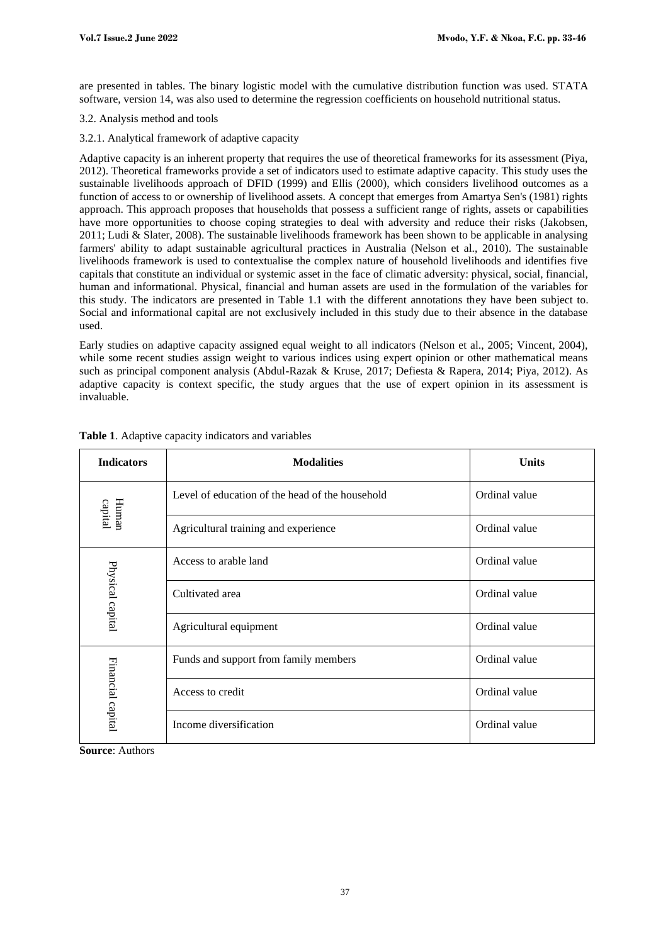are presented in tables. The binary logistic model with the cumulative distribution function was used. STATA software, version 14, was also used to determine the regression coefficients on household nutritional status.

# 3.2. Analysis method and tools

3.2.1. Analytical framework of adaptive capacity

Adaptive capacity is an inherent property that requires the use of theoretical frameworks for its assessment (Piya, 2012). Theoretical frameworks provide a set of indicators used to estimate adaptive capacity. This study uses the sustainable livelihoods approach of DFID (1999) and Ellis (2000), which considers livelihood outcomes as a function of access to or ownership of livelihood assets. A concept that emerges from Amartya Sen's (1981) rights approach. This approach proposes that households that possess a sufficient range of rights, assets or capabilities have more opportunities to choose coping strategies to deal with adversity and reduce their risks (Jakobsen, 2011; Ludi & Slater, 2008). The sustainable livelihoods framework has been shown to be applicable in analysing farmers' ability to adapt sustainable agricultural practices in Australia (Nelson et al., 2010). The sustainable livelihoods framework is used to contextualise the complex nature of household livelihoods and identifies five capitals that constitute an individual or systemic asset in the face of climatic adversity: physical, social, financial, human and informational. Physical, financial and human assets are used in the formulation of the variables for this study. The indicators are presented in Table 1.1 with the different annotations they have been subject to. Social and informational capital are not exclusively included in this study due to their absence in the database used.

Early studies on adaptive capacity assigned equal weight to all indicators (Nelson et al., 2005; Vincent, 2004), while some recent studies assign weight to various indices using expert opinion or other mathematical means such as principal component analysis (Abdul-Razak & Kruse, 2017; Defiesta & Rapera, 2014; Piya, 2012). As adaptive capacity is context specific, the study argues that the use of expert opinion in its assessment is invaluable.

| <b>Indicators</b>                                                                                                                                                                                                                                                                                                                                                                                           | <b>Modalities</b>                               | <b>Units</b>  |
|-------------------------------------------------------------------------------------------------------------------------------------------------------------------------------------------------------------------------------------------------------------------------------------------------------------------------------------------------------------------------------------------------------------|-------------------------------------------------|---------------|
| $\begin{minipage}{.4\linewidth} \begin{tabular}{l} \bf 1 & \bf 2 & \bf 3 \\ \bf 4 & \bf 4 & \bf 5 \\ \bf 5 & \bf 6 & \bf 7 \\ \bf 6 & \bf 8 & \bf 9 \\ \bf 1 & \bf 1 & \bf 1 \\ \bf 1 & \bf 1 & \bf 1 \\ \bf 1 & \bf 1 & \bf 1 \\ \bf 2 & \bf 1 & \bf 1 \\ \bf 3 & \bf 1 & \bf 1 \\ \bf 4 & \bf 1 & \bf 1 \\ \bf 5 & \bf 1 & \bf 1 \\ \bf 6 & \bf 1 & \bf 1 \\ \bf 7 & \bf 1 & \bf 1 \\ \bf 8 &$<br>capital | Level of education of the head of the household | Ordinal value |
|                                                                                                                                                                                                                                                                                                                                                                                                             | Agricultural training and experience            | Ordinal value |
| Physical capital                                                                                                                                                                                                                                                                                                                                                                                            | Access to arable land                           | Ordinal value |
|                                                                                                                                                                                                                                                                                                                                                                                                             | Cultivated area                                 | Ordinal value |
|                                                                                                                                                                                                                                                                                                                                                                                                             | Agricultural equipment                          | Ordinal value |
| Financial capital                                                                                                                                                                                                                                                                                                                                                                                           | Funds and support from family members           | Ordinal value |
|                                                                                                                                                                                                                                                                                                                                                                                                             | Access to credit                                | Ordinal value |
|                                                                                                                                                                                                                                                                                                                                                                                                             | Income diversification                          | Ordinal value |

|  |  |  | Table 1. Adaptive capacity indicators and variables |  |  |
|--|--|--|-----------------------------------------------------|--|--|
|--|--|--|-----------------------------------------------------|--|--|

**Source**: Authors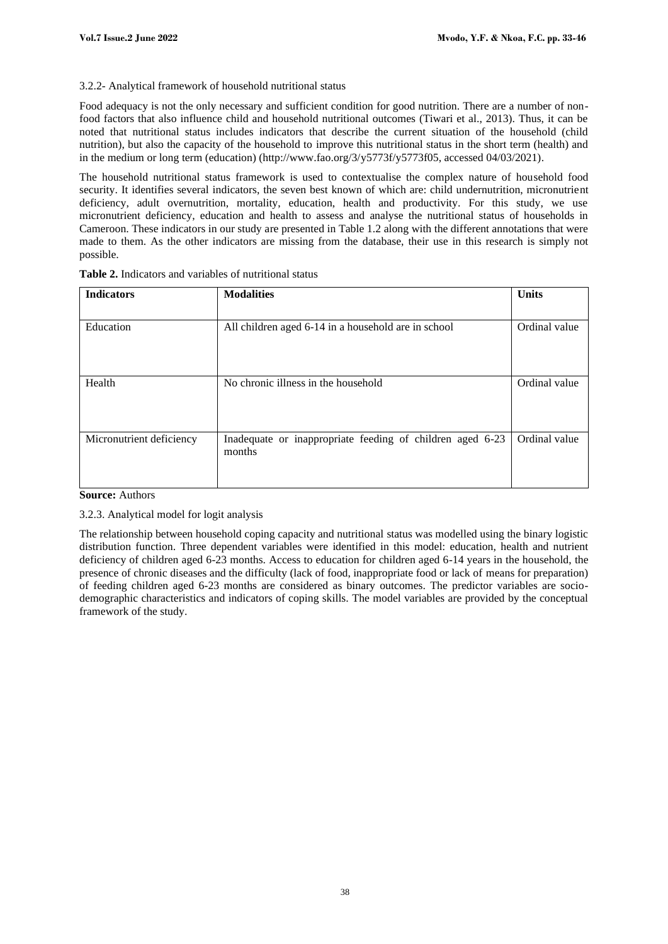## 3.2.2- Analytical framework of household nutritional status

Food adequacy is not the only necessary and sufficient condition for good nutrition. There are a number of nonfood factors that also influence child and household nutritional outcomes (Tiwari et al., 2013). Thus, it can be noted that nutritional status includes indicators that describe the current situation of the household (child nutrition), but also the capacity of the household to improve this nutritional status in the short term (health) and in the medium or long term (education) (http://www.fao.org/3/y5773f/y5773f05, accessed 04/03/2021).

The household nutritional status framework is used to contextualise the complex nature of household food security. It identifies several indicators, the seven best known of which are: child undernutrition, micronutrient deficiency, adult overnutrition, mortality, education, health and productivity. For this study, we use micronutrient deficiency, education and health to assess and analyse the nutritional status of households in Cameroon. These indicators in our study are presented in Table 1.2 along with the different annotations that were made to them. As the other indicators are missing from the database, their use in this research is simply not possible.

| <b>Indicators</b>        | <b>Modalities</b>                                                   | <b>Units</b>  |
|--------------------------|---------------------------------------------------------------------|---------------|
| Education                | All children aged 6-14 in a household are in school                 | Ordinal value |
| Health                   | No chronic illness in the household                                 | Ordinal value |
| Micronutrient deficiency | Inadequate or inappropriate feeding of children aged 6-23<br>months | Ordinal value |

|  |  |  |  |  |  | <b>Table 2.</b> Indicators and variables of nutritional status |  |
|--|--|--|--|--|--|----------------------------------------------------------------|--|
|--|--|--|--|--|--|----------------------------------------------------------------|--|

### **Source:** Authors

### 3.2.3. Analytical model for logit analysis

The relationship between household coping capacity and nutritional status was modelled using the binary logistic distribution function. Three dependent variables were identified in this model: education, health and nutrient deficiency of children aged 6-23 months. Access to education for children aged 6-14 years in the household, the presence of chronic diseases and the difficulty (lack of food, inappropriate food or lack of means for preparation) of feeding children aged 6-23 months are considered as binary outcomes. The predictor variables are sociodemographic characteristics and indicators of coping skills. The model variables are provided by the conceptual framework of the study.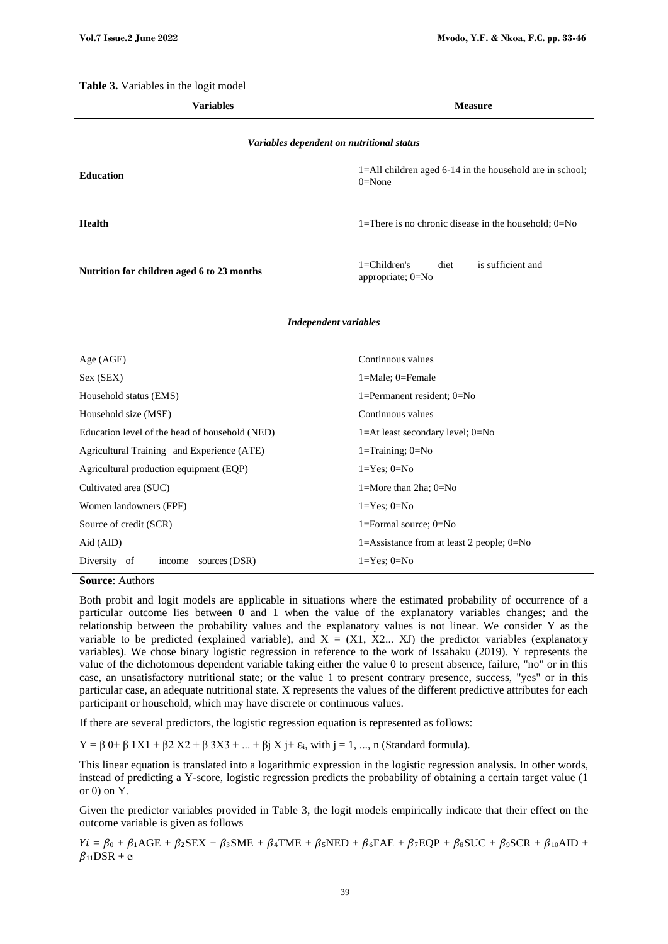**Table 3.** Variables in the logit model

| <b>Variables</b>                               | <b>Measure</b>                                                         |  |  |  |
|------------------------------------------------|------------------------------------------------------------------------|--|--|--|
| Variables dependent on nutritional status      |                                                                        |  |  |  |
| <b>Education</b>                               | 1=All children aged 6-14 in the household are in school;<br>$0 = None$ |  |  |  |
| <b>Health</b>                                  | 1=There is no chronic disease in the household; $0=No$                 |  |  |  |
| Nutrition for children aged 6 to 23 months     | 1=Children's<br>is sufficient and<br>diet<br>appropriate; 0=No         |  |  |  |
| <b>Independent variables</b>                   |                                                                        |  |  |  |
| Age (AGE)                                      | Continuous values                                                      |  |  |  |
| Sex (SEX)                                      | 1=Male; 0=Female                                                       |  |  |  |
| Household status (EMS)                         | 1=Permanent resident; 0=No                                             |  |  |  |
| Household size (MSE)                           | Continuous values                                                      |  |  |  |
| Education level of the head of household (NED) | $1 = At$ least secondary level; $0 = No$                               |  |  |  |
| Agricultural Training and Experience (ATE)     | $1 = Triaining$ ; $0 = No$                                             |  |  |  |
| Agricultural production equipment (EQP)        | $1 = Yes$ ; $0 = No$                                                   |  |  |  |
| Cultivated area (SUC)                          | 1=More than $2ha$ ; 0=No                                               |  |  |  |
| Women landowners (FPF)                         | $1 = Yes$ ; $0 = No$                                                   |  |  |  |
| Source of credit (SCR)                         | 1=Formal source; 0=No                                                  |  |  |  |
| Aid (AID)                                      | 1=Assistance from at least 2 people; 0=No                              |  |  |  |
| Diversity of<br>income sources (DSR)           | $1 = Yes$ ; $0 = No$                                                   |  |  |  |

**Source**: Authors

Both probit and logit models are applicable in situations where the estimated probability of occurrence of a particular outcome lies between 0 and 1 when the value of the explanatory variables changes; and the relationship between the probability values and the explanatory values is not linear. We consider Y as the variable to be predicted (explained variable), and  $X = (X1, X2... XJ)$  the predictor variables (explanatory variables). We chose binary logistic regression in reference to the work of Issahaku (2019). Y represents the value of the dichotomous dependent variable taking either the value 0 to present absence, failure, "no" or in this case, an unsatisfactory nutritional state; or the value 1 to present contrary presence, success, "yes" or in this particular case, an adequate nutritional state. X represents the values of the different predictive attributes for each participant or household, which may have discrete or continuous values.

If there are several predictors, the logistic regression equation is represented as follows:

 $Y = \beta$  0+  $\beta$  1X1 +  $\beta$ 2 X2 +  $\beta$  3X3 + ... +  $\beta$ j X j +  $\varepsilon$ <sub>i</sub>, with j = 1, ..., n (Standard formula).

This linear equation is translated into a logarithmic expression in the logistic regression analysis. In other words, instead of predicting a Y-score, logistic regression predicts the probability of obtaining a certain target value (1 or  $0$ ) on Y.

Given the predictor variables provided in Table 3, the logit models empirically indicate that their effect on the outcome variable is given as follows

 $Yi = \beta_0 + \beta_1 AGE + \beta_2 SEX + \beta_3 SME + \beta_4 TME + \beta_5 NED + \beta_6 FAE + \beta_7 EOP + \beta_8 SUC + \beta_9 SCR + \beta_{10} AID +$  $\beta_{11}$ DSR + e<sub>i</sub>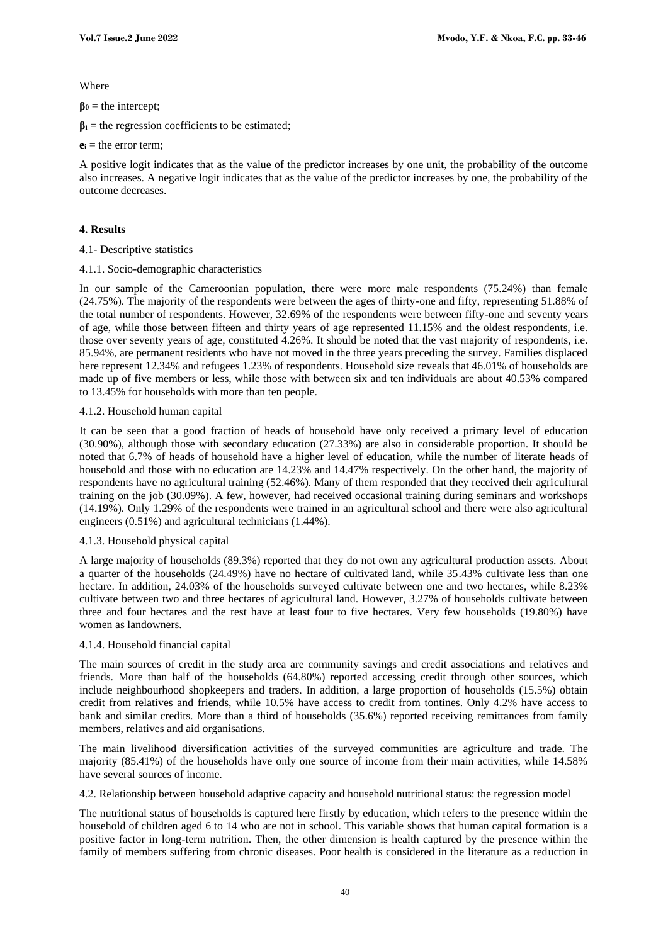Where

 $\beta_0$  = the intercept;

 $\beta$ **i** = the regression coefficients to be estimated;

```
\mathbf{e}_i = the error term:
```
A positive logit indicates that as the value of the predictor increases by one unit, the probability of the outcome also increases. A negative logit indicates that as the value of the predictor increases by one, the probability of the outcome decreases.

### **4. Results**

4.1- Descriptive statistics

4.1.1. Socio-demographic characteristics

In our sample of the Cameroonian population, there were more male respondents (75.24%) than female (24.75%). The majority of the respondents were between the ages of thirty-one and fifty, representing 51.88% of the total number of respondents. However, 32.69% of the respondents were between fifty-one and seventy years of age, while those between fifteen and thirty years of age represented 11.15% and the oldest respondents, i.e. those over seventy years of age, constituted 4.26%. It should be noted that the vast majority of respondents, i.e. 85.94%, are permanent residents who have not moved in the three years preceding the survey. Families displaced here represent 12.34% and refugees 1.23% of respondents. Household size reveals that 46.01% of households are made up of five members or less, while those with between six and ten individuals are about 40.53% compared to 13.45% for households with more than ten people.

### 4.1.2. Household human capital

It can be seen that a good fraction of heads of household have only received a primary level of education (30.90%), although those with secondary education (27.33%) are also in considerable proportion. It should be noted that 6.7% of heads of household have a higher level of education, while the number of literate heads of household and those with no education are 14.23% and 14.47% respectively. On the other hand, the majority of respondents have no agricultural training (52.46%). Many of them responded that they received their agricultural training on the job (30.09%). A few, however, had received occasional training during seminars and workshops (14.19%). Only 1.29% of the respondents were trained in an agricultural school and there were also agricultural engineers (0.51%) and agricultural technicians (1.44%).

### 4.1.3. Household physical capital

A large majority of households (89.3%) reported that they do not own any agricultural production assets. About a quarter of the households (24.49%) have no hectare of cultivated land, while 35.43% cultivate less than one hectare. In addition, 24.03% of the households surveyed cultivate between one and two hectares, while 8.23% cultivate between two and three hectares of agricultural land. However, 3.27% of households cultivate between three and four hectares and the rest have at least four to five hectares. Very few households (19.80%) have women as landowners.

### 4.1.4. Household financial capital

The main sources of credit in the study area are community savings and credit associations and relatives and friends. More than half of the households (64.80%) reported accessing credit through other sources, which include neighbourhood shopkeepers and traders. In addition, a large proportion of households (15.5%) obtain credit from relatives and friends, while 10.5% have access to credit from tontines. Only 4.2% have access to bank and similar credits. More than a third of households (35.6%) reported receiving remittances from family members, relatives and aid organisations.

The main livelihood diversification activities of the surveyed communities are agriculture and trade. The majority (85.41%) of the households have only one source of income from their main activities, while 14.58% have several sources of income.

4.2. Relationship between household adaptive capacity and household nutritional status: the regression model

The nutritional status of households is captured here firstly by education, which refers to the presence within the household of children aged 6 to 14 who are not in school. This variable shows that human capital formation is a positive factor in long-term nutrition. Then, the other dimension is health captured by the presence within the family of members suffering from chronic diseases. Poor health is considered in the literature as a reduction in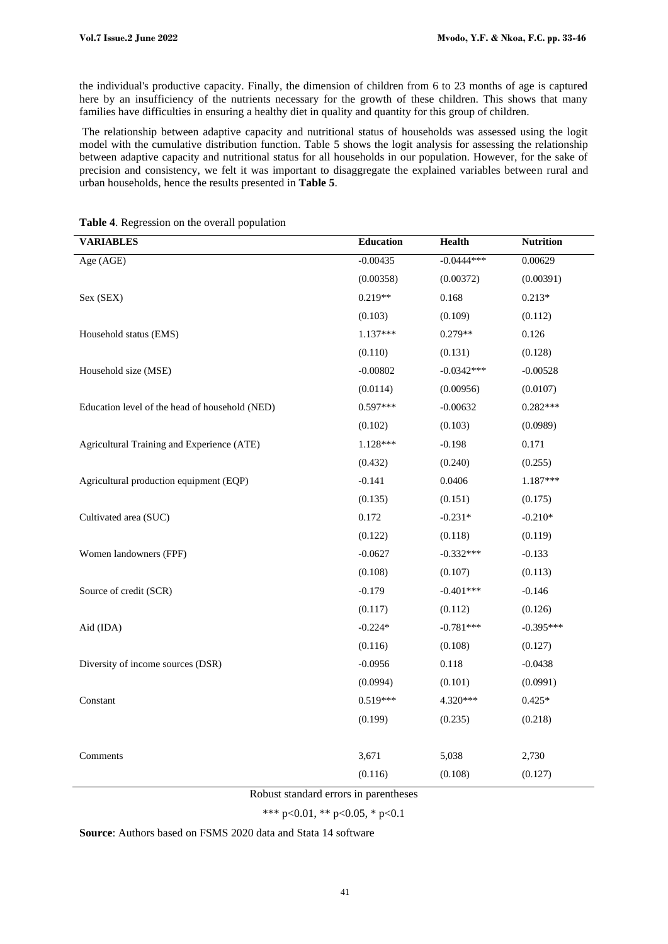the individual's productive capacity. Finally, the dimension of children from 6 to 23 months of age is captured here by an insufficiency of the nutrients necessary for the growth of these children. This shows that many families have difficulties in ensuring a healthy diet in quality and quantity for this group of children.

The relationship between adaptive capacity and nutritional status of households was assessed using the logit model with the cumulative distribution function. Table 5 shows the logit analysis for assessing the relationship between adaptive capacity and nutritional status for all households in our population. However, for the sake of precision and consistency, we felt it was important to disaggregate the explained variables between rural and urban households, hence the results presented in **Table 5**.

| <b>VARIABLES</b>                               | <b>Education</b> | <b>Health</b> | <b>Nutrition</b> |
|------------------------------------------------|------------------|---------------|------------------|
| Age (AGE)                                      | $-0.00435$       | $-0.0444***$  | 0.00629          |
|                                                | (0.00358)        | (0.00372)     | (0.00391)        |
| Sex (SEX)                                      | $0.219**$        | 0.168         | $0.213*$         |
|                                                | (0.103)          | (0.109)       | (0.112)          |
| Household status (EMS)                         | $1.137***$       | $0.279**$     | 0.126            |
|                                                | (0.110)          | (0.131)       | (0.128)          |
| Household size (MSE)                           | $-0.00802$       | $-0.0342***$  | $-0.00528$       |
|                                                | (0.0114)         | (0.00956)     | (0.0107)         |
| Education level of the head of household (NED) | $0.597***$       | $-0.00632$    | $0.282***$       |
|                                                | (0.102)          | (0.103)       | (0.0989)         |
| Agricultural Training and Experience (ATE)     | $1.128***$       | $-0.198$      | 0.171            |
|                                                | (0.432)          | (0.240)       | (0.255)          |
| Agricultural production equipment (EQP)        | $-0.141$         | 0.0406        | 1.187***         |
|                                                | (0.135)          | (0.151)       | (0.175)          |
| Cultivated area (SUC)                          | 0.172            | $-0.231*$     | $-0.210*$        |
|                                                | (0.122)          | (0.118)       | (0.119)          |
| Women landowners (FPF)                         | $-0.0627$        | $-0.332***$   | $-0.133$         |
|                                                | (0.108)          | (0.107)       | (0.113)          |
| Source of credit (SCR)                         | $-0.179$         | $-0.401***$   | $-0.146$         |
|                                                | (0.117)          | (0.112)       | (0.126)          |
| Aid (IDA)                                      | $-0.224*$        | $-0.781***$   | $-0.395***$      |
|                                                | (0.116)          | (0.108)       | (0.127)          |
| Diversity of income sources (DSR)              | $-0.0956$        | 0.118         | $-0.0438$        |
|                                                | (0.0994)         | (0.101)       | (0.0991)         |
| Constant                                       | 0.519***         | 4.320***      | $0.425*$         |
|                                                | (0.199)          | (0.235)       | (0.218)          |
|                                                |                  |               |                  |
| Comments                                       | 3,671            | 5,038         | 2,730            |
|                                                | (0.116)          | (0.108)       | (0.127)          |

**Table 4**. Regression on the overall population

Robust standard errors in parentheses

\*\*\* p<0.01, \*\* p<0.05, \* p<0.1

**Source**: Authors based on FSMS 2020 data and Stata 14 software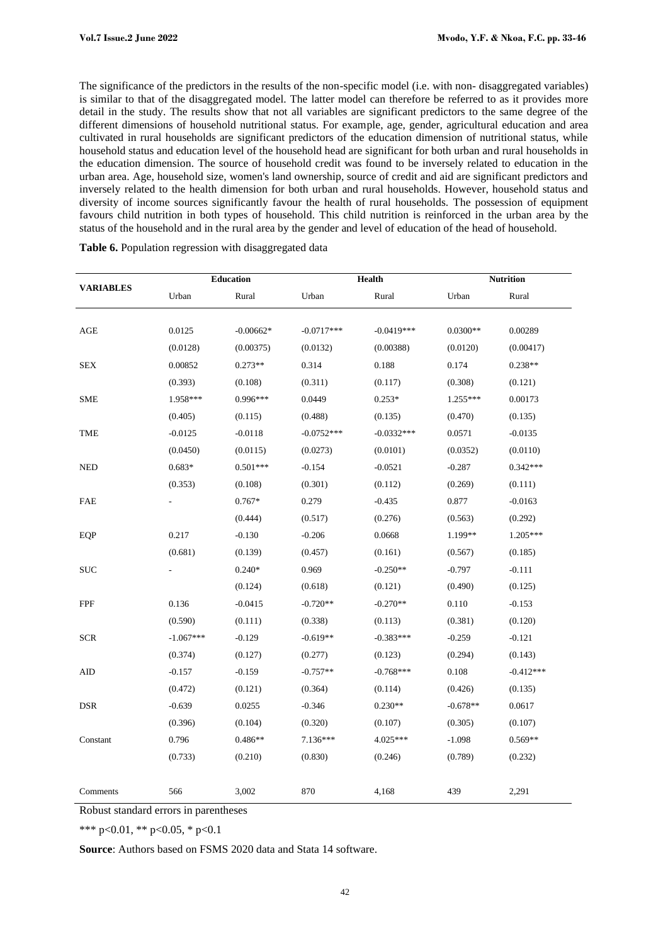The significance of the predictors in the results of the non-specific model (i.e. with non- disaggregated variables) is similar to that of the disaggregated model. The latter model can therefore be referred to as it provides more detail in the study. The results show that not all variables are significant predictors to the same degree of the different dimensions of household nutritional status. For example, age, gender, agricultural education and area cultivated in rural households are significant predictors of the education dimension of nutritional status, while household status and education level of the household head are significant for both urban and rural households in the education dimension. The source of household credit was found to be inversely related to education in the urban area. Age, household size, women's land ownership, source of credit and aid are significant predictors and inversely related to the health dimension for both urban and rural households. However, household status and diversity of income sources significantly favour the health of rural households. The possession of equipment favours child nutrition in both types of household. This child nutrition is reinforced in the urban area by the status of the household and in the rural area by the gender and level of education of the head of household.

|                                 | Education   |             | <b>Health</b> |              | <b>Nutrition</b> |             |
|---------------------------------|-------------|-------------|---------------|--------------|------------------|-------------|
| <b>VARIABLES</b>                | Urban       | Rural       | Urban         | Rural        | Urban            | Rural       |
|                                 |             |             |               |              |                  |             |
| $\rm{AGE}$                      | 0.0125      | $-0.00662*$ | $-0.0717***$  | $-0.0419***$ | $0.0300**$       | 0.00289     |
|                                 | (0.0128)    | (0.00375)   | (0.0132)      | (0.00388)    | (0.0120)         | (0.00417)   |
| ${\hbox{\footnotesize\rm SEX}}$ | 0.00852     | $0.273**$   | 0.314         | 0.188        | 0.174            | $0.238**$   |
|                                 | (0.393)     | (0.108)     | (0.311)       | (0.117)      | (0.308)          | (0.121)     |
| <b>SME</b>                      | 1.958***    | $0.996***$  | 0.0449        | $0.253*$     | $1.255***$       | 0.00173     |
|                                 | (0.405)     | (0.115)     | (0.488)       | (0.135)      | (0.470)          | (0.135)     |
| TME                             | $-0.0125$   | $-0.0118$   | $-0.0752***$  | $-0.0332***$ | 0.0571           | $-0.0135$   |
|                                 | (0.0450)    | (0.0115)    | (0.0273)      | (0.0101)     | (0.0352)         | (0.0110)    |
| $\rm{NED}$                      | $0.683*$    | $0.501***$  | $-0.154$      | $-0.0521$    | $-0.287$         | $0.342***$  |
|                                 | (0.353)     | (0.108)     | (0.301)       | (0.112)      | (0.269)          | (0.111)     |
| FAE                             |             | $0.767*$    | 0.279         | $-0.435$     | 0.877            | $-0.0163$   |
|                                 |             | (0.444)     | (0.517)       | (0.276)      | (0.563)          | (0.292)     |
| EQP                             | 0.217       | $-0.130$    | $-0.206$      | 0.0668       | 1.199**          | $1.205***$  |
|                                 | (0.681)     | (0.139)     | (0.457)       | (0.161)      | (0.567)          | (0.185)     |
| <b>SUC</b>                      |             | $0.240*$    | 0.969         | $-0.250**$   | $-0.797$         | $-0.111$    |
|                                 |             | (0.124)     | (0.618)       | (0.121)      | (0.490)          | (0.125)     |
| <b>FPF</b>                      | 0.136       | $-0.0415$   | $-0.720**$    | $-0.270**$   | 0.110            | $-0.153$    |
|                                 | (0.590)     | (0.111)     | (0.338)       | (0.113)      | (0.381)          | (0.120)     |
| <b>SCR</b>                      | $-1.067***$ | $-0.129$    | $-0.619**$    | $-0.383***$  | $-0.259$         | $-0.121$    |
|                                 | (0.374)     | (0.127)     | (0.277)       | (0.123)      | (0.294)          | (0.143)     |
| <b>AID</b>                      | $-0.157$    | $-0.159$    | $-0.757**$    | $-0.768***$  | 0.108            | $-0.412***$ |
|                                 | (0.472)     | (0.121)     | (0.364)       | (0.114)      | (0.426)          | (0.135)     |
| <b>DSR</b>                      | $-0.639$    | 0.0255      | $-0.346$      | $0.230**$    | $-0.678**$       | 0.0617      |
|                                 | (0.396)     | (0.104)     | (0.320)       | (0.107)      | (0.305)          | (0.107)     |
| Constant                        | 0.796       | $0.486**$   | 7.136***      | 4.025***     | $-1.098$         | $0.569**$   |
|                                 | (0.733)     | (0.210)     | (0.830)       | (0.246)      | (0.789)          | (0.232)     |
|                                 |             |             |               |              |                  |             |
| Comments                        | 566         | 3,002       | 870           | 4,168        | 439              | 2,291       |

**Table 6.** Population regression with disaggregated data

Robust standard errors in parentheses

\*\*\* p<0.01, \*\* p<0.05, \* p<0.1

**Source**: Authors based on FSMS 2020 data and Stata 14 software.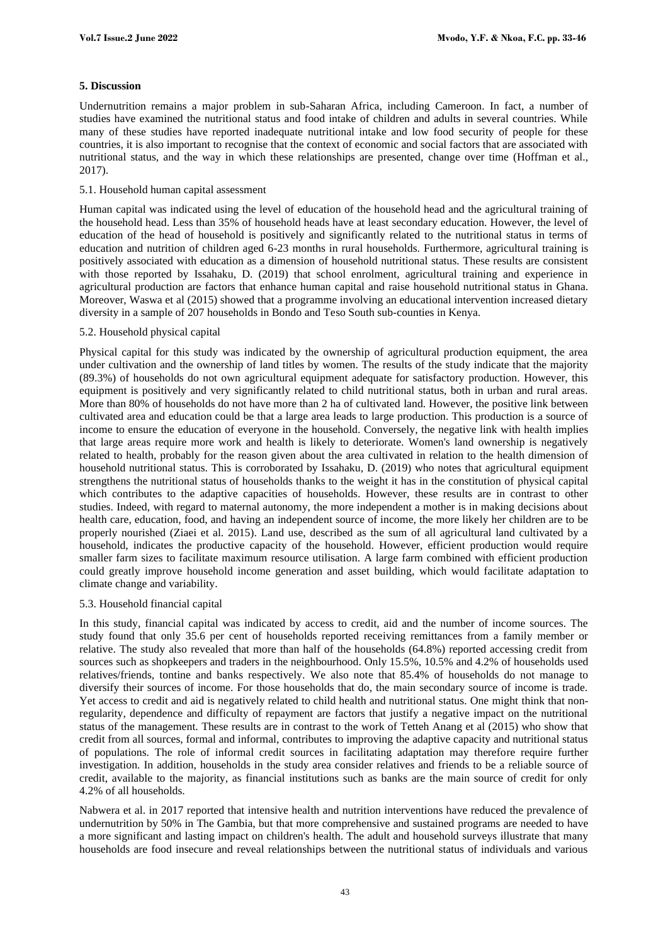### **5. Discussion**

Undernutrition remains a major problem in sub-Saharan Africa, including Cameroon. In fact, a number of studies have examined the nutritional status and food intake of children and adults in several countries. While many of these studies have reported inadequate nutritional intake and low food security of people for these countries, it is also important to recognise that the context of economic and social factors that are associated with nutritional status, and the way in which these relationships are presented, change over time (Hoffman et al., 2017).

### 5.1. Household human capital assessment

Human capital was indicated using the level of education of the household head and the agricultural training of the household head. Less than 35% of household heads have at least secondary education. However, the level of education of the head of household is positively and significantly related to the nutritional status in terms of education and nutrition of children aged 6-23 months in rural households. Furthermore, agricultural training is positively associated with education as a dimension of household nutritional status. These results are consistent with those reported by Issahaku, D. (2019) that school enrolment, agricultural training and experience in agricultural production are factors that enhance human capital and raise household nutritional status in Ghana. Moreover, Waswa et al (2015) showed that a programme involving an educational intervention increased dietary diversity in a sample of 207 households in Bondo and Teso South sub-counties in Kenya.

### 5.2. Household physical capital

Physical capital for this study was indicated by the ownership of agricultural production equipment, the area under cultivation and the ownership of land titles by women. The results of the study indicate that the majority (89.3%) of households do not own agricultural equipment adequate for satisfactory production. However, this equipment is positively and very significantly related to child nutritional status, both in urban and rural areas. More than 80% of households do not have more than 2 ha of cultivated land. However, the positive link between cultivated area and education could be that a large area leads to large production. This production is a source of income to ensure the education of everyone in the household. Conversely, the negative link with health implies that large areas require more work and health is likely to deteriorate. Women's land ownership is negatively related to health, probably for the reason given about the area cultivated in relation to the health dimension of household nutritional status. This is corroborated by Issahaku, D. (2019) who notes that agricultural equipment strengthens the nutritional status of households thanks to the weight it has in the constitution of physical capital which contributes to the adaptive capacities of households. However, these results are in contrast to other studies. Indeed, with regard to maternal autonomy, the more independent a mother is in making decisions about health care, education, food, and having an independent source of income, the more likely her children are to be properly nourished (Ziaei et al. 2015). Land use, described as the sum of all agricultural land cultivated by a household, indicates the productive capacity of the household. However, efficient production would require smaller farm sizes to facilitate maximum resource utilisation. A large farm combined with efficient production could greatly improve household income generation and asset building, which would facilitate adaptation to climate change and variability.

#### 5.3. Household financial capital

In this study, financial capital was indicated by access to credit, aid and the number of income sources. The study found that only 35.6 per cent of households reported receiving remittances from a family member or relative. The study also revealed that more than half of the households (64.8%) reported accessing credit from sources such as shopkeepers and traders in the neighbourhood. Only 15.5%, 10.5% and 4.2% of households used relatives/friends, tontine and banks respectively. We also note that 85.4% of households do not manage to diversify their sources of income. For those households that do, the main secondary source of income is trade. Yet access to credit and aid is negatively related to child health and nutritional status. One might think that nonregularity, dependence and difficulty of repayment are factors that justify a negative impact on the nutritional status of the management. These results are in contrast to the work of Tetteh Anang et al (2015) who show that credit from all sources, formal and informal, contributes to improving the adaptive capacity and nutritional status of populations. The role of informal credit sources in facilitating adaptation may therefore require further investigation. In addition, households in the study area consider relatives and friends to be a reliable source of credit, available to the majority, as financial institutions such as banks are the main source of credit for only 4.2% of all households.

Nabwera et al. in 2017 reported that intensive health and nutrition interventions have reduced the prevalence of undernutrition by 50% in The Gambia, but that more comprehensive and sustained programs are needed to have a more significant and lasting impact on children's health. The adult and household surveys illustrate that many households are food insecure and reveal relationships between the nutritional status of individuals and various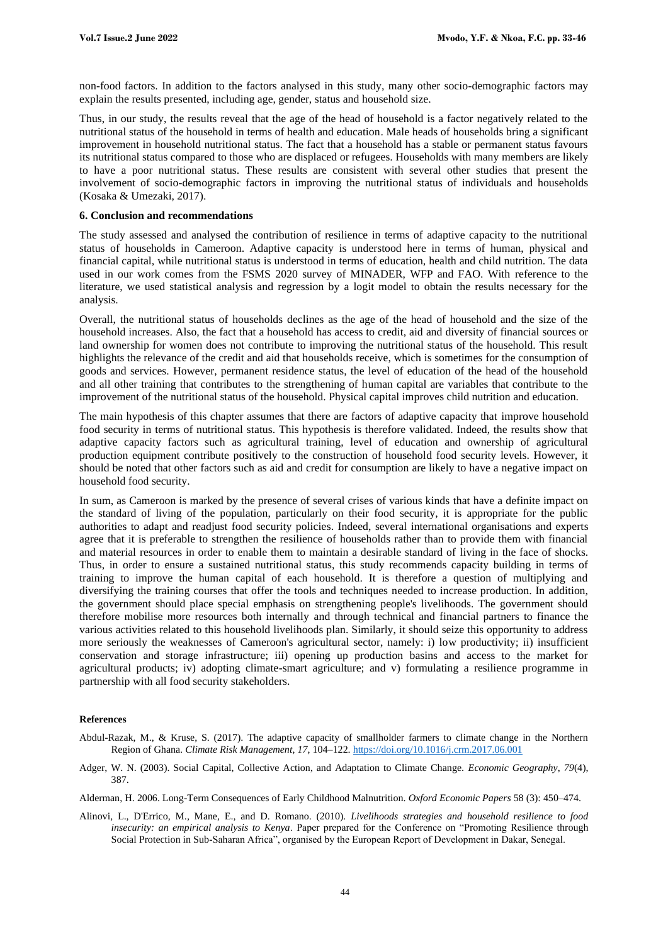non-food factors. In addition to the factors analysed in this study, many other socio-demographic factors may explain the results presented, including age, gender, status and household size.

Thus, in our study, the results reveal that the age of the head of household is a factor negatively related to the nutritional status of the household in terms of health and education. Male heads of households bring a significant improvement in household nutritional status. The fact that a household has a stable or permanent status favours its nutritional status compared to those who are displaced or refugees. Households with many members are likely to have a poor nutritional status. These results are consistent with several other studies that present the involvement of socio-demographic factors in improving the nutritional status of individuals and households (Kosaka & Umezaki, 2017).

### **6. Conclusion and recommendations**

The study assessed and analysed the contribution of resilience in terms of adaptive capacity to the nutritional status of households in Cameroon. Adaptive capacity is understood here in terms of human, physical and financial capital, while nutritional status is understood in terms of education, health and child nutrition. The data used in our work comes from the FSMS 2020 survey of MINADER, WFP and FAO. With reference to the literature, we used statistical analysis and regression by a logit model to obtain the results necessary for the analysis.

Overall, the nutritional status of households declines as the age of the head of household and the size of the household increases. Also, the fact that a household has access to credit, aid and diversity of financial sources or land ownership for women does not contribute to improving the nutritional status of the household. This result highlights the relevance of the credit and aid that households receive, which is sometimes for the consumption of goods and services. However, permanent residence status, the level of education of the head of the household and all other training that contributes to the strengthening of human capital are variables that contribute to the improvement of the nutritional status of the household. Physical capital improves child nutrition and education.

The main hypothesis of this chapter assumes that there are factors of adaptive capacity that improve household food security in terms of nutritional status. This hypothesis is therefore validated. Indeed, the results show that adaptive capacity factors such as agricultural training, level of education and ownership of agricultural production equipment contribute positively to the construction of household food security levels. However, it should be noted that other factors such as aid and credit for consumption are likely to have a negative impact on household food security.

In sum, as Cameroon is marked by the presence of several crises of various kinds that have a definite impact on the standard of living of the population, particularly on their food security, it is appropriate for the public authorities to adapt and readjust food security policies. Indeed, several international organisations and experts agree that it is preferable to strengthen the resilience of households rather than to provide them with financial and material resources in order to enable them to maintain a desirable standard of living in the face of shocks. Thus, in order to ensure a sustained nutritional status, this study recommends capacity building in terms of training to improve the human capital of each household. It is therefore a question of multiplying and diversifying the training courses that offer the tools and techniques needed to increase production. In addition, the government should place special emphasis on strengthening people's livelihoods. The government should therefore mobilise more resources both internally and through technical and financial partners to finance the various activities related to this household livelihoods plan. Similarly, it should seize this opportunity to address more seriously the weaknesses of Cameroon's agricultural sector, namely: i) low productivity; ii) insufficient conservation and storage infrastructure; iii) opening up production basins and access to the market for agricultural products; iv) adopting climate-smart agriculture; and v) formulating a resilience programme in partnership with all food security stakeholders.

#### **References**

Abdul-Razak, M., & Kruse, S. (2017). The adaptive capacity of smallholder farmers to climate change in the Northern Region of Ghana. *Climate Risk Management*, *17*, 104–122[. https://doi.org/10.1016/j.crm.2017.06.001](https://doi.org/10.1016/j.crm.2017.06.001)

Adger, W. N. (2003). Social Capital, Collective Action, and Adaptation to Climate Change. *Economic Geography*, *79*(4), 387.

Alderman, H. 2006. Long-Term Consequences of Early Childhood Malnutrition. *Oxford Economic Papers* 58 (3): 450–474.

Alinovi, L., D'Errico, M., Mane, E., and D. Romano. (2010). *Livelihoods strategies and household resilience to food insecurity: an empirical analysis to Kenya*. Paper prepared for the Conference on "Promoting Resilience through Social Protection in Sub-Saharan Africa", organised by the European Report of Development in Dakar, Senegal.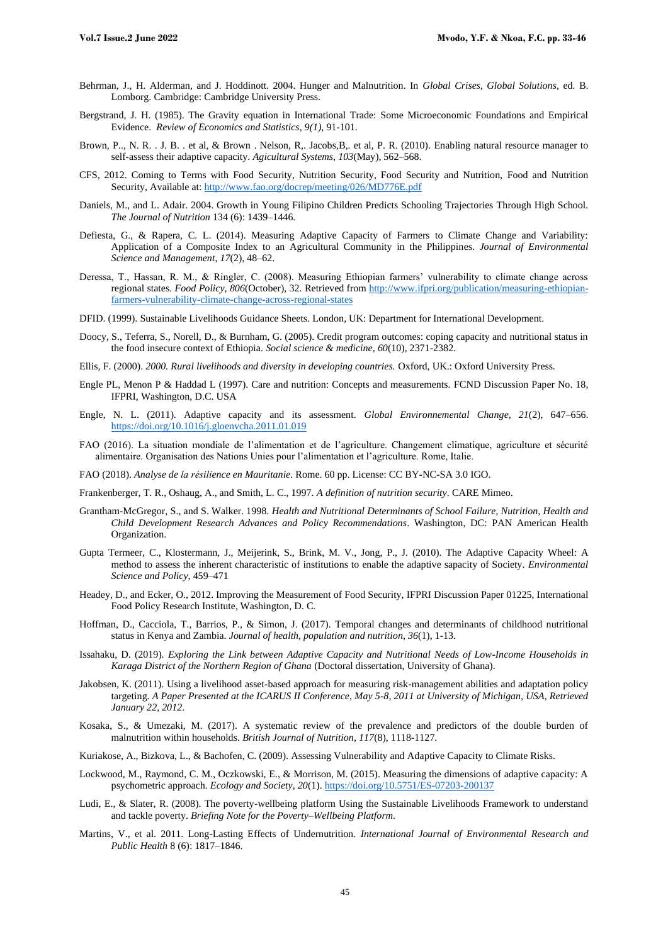- Behrman, J., H. Alderman, and J. Hoddinott. 2004. Hunger and Malnutrition. In *Global Crises, Global Solutions*, ed. B. Lomborg. Cambridge: Cambridge University Press.
- Bergstrand, J. H. (1985). The Gravity equation in International Trade: Some Microeconomic Foundations and Empirical Evidence. *Review of Economics and Statistics*, *9(1)*, 91-101.
- Brown, P.., N. R. . J. B. . et al, & Brown . Nelson, R.. Jacobs, B., et al, P. R. (2010). Enabling natural resource manager to self-assess their adaptive capacity. *Agicultural Systems*, *103*(May), 562–568.
- CFS, 2012. Coming to Terms with Food Security, Nutrition Security, Food Security and Nutrition, Food and Nutrition Security, Available at:<http://www.fao.org/docrep/meeting/026/MD776E.pdf>
- Daniels, M., and L. Adair. 2004. Growth in Young Filipino Children Predicts Schooling Trajectories Through High School. *The Journal of Nutrition* 134 (6): 1439–1446.
- Defiesta, G., & Rapera, C. L. (2014). Measuring Adaptive Capacity of Farmers to Climate Change and Variability: Application of a Composite Index to an Agricultural Community in the Philippines. *Journal of Environmental Science and Management*, *17*(2), 48–62.
- Deressa, T., Hassan, R. M., & Ringler, C. (2008). Measuring Ethiopian farmers' vulnerability to climate change across regional states. *Food Policy*, *806*(October), 32. Retrieved from [http://www.ifpri.org/publication/measuring-ethiopian](http://www.ifpri.org/publication/measuring-ethiopian-farmers-vulnerability-climate-change-across-regional-states)[farmers-vulnerability-climate-change-across-regional-states](http://www.ifpri.org/publication/measuring-ethiopian-farmers-vulnerability-climate-change-across-regional-states)
- DFID. (1999). Sustainable Livelihoods Guidance Sheets. London, UK: Department for International Development.
- Doocy, S., Teferra, S., Norell, D., & Burnham, G. (2005). Credit program outcomes: coping capacity and nutritional status in the food insecure context of Ethiopia. *Social science & medicine*, *60*(10), 2371-2382.
- Ellis, F. (2000). *2000. Rural livelihoods and diversity in developing countries.* Oxford, UK.: Oxford University Press.
- Engle PL, Menon P & Haddad L (1997). Care and nutrition: Concepts and measurements. FCND Discussion Paper No. 18, IFPRI, Washington, D.C. USA
- Engle, N. L. (2011). Adaptive capacity and its assessment. *Global Environnemental Change*, *21*(2), 647–656. <https://doi.org/10.1016/j.gloenvcha.2011.01.019>
- FAO (2016). La situation mondiale de l'alimentation et de l'agriculture. Changement climatique, agriculture et sécurité alimentaire. Organisation des Nations Unies pour l'alimentation et l'agriculture. Rome, Italie.
- FAO (2018). *Analyse de la résilience en Mauritanie*. Rome. 60 pp. License: CC BY-NC-SA 3.0 IGO.
- Frankenberger, T. R., Oshaug, A., and Smith, L. C., 1997. *A definition of nutrition security*. CARE Mimeo.
- Grantham-McGregor, S., and S. Walker. 1998. *Health and Nutritional Determinants of School Failure, Nutrition, Health and Child Development Research Advances and Policy Recommendations*. Washington, DC: PAN American Health Organization.
- Gupta Termeer, C., Klostermann, J., Meijerink, S., Brink, M. V., Jong, P., J. (2010). The Adaptive Capacity Wheel: A method to assess the inherent characteristic of institutions to enable the adaptive sapacity of Society. *Environmental Science and Policy*, 459–471
- Headey, D., and Ecker, O., 2012. Improving the Measurement of Food Security, IFPRI Discussion Paper 01225, International Food Policy Research Institute, Washington, D. C.
- Hoffman, D., Cacciola, T., Barrios, P., & Simon, J. (2017). Temporal changes and determinants of childhood nutritional status in Kenya and Zambia. *Journal of health, population and nutrition*, *36*(1), 1-13.
- Issahaku, D. (2019). *Exploring the Link between Adaptive Capacity and Nutritional Needs of Low-Income Households in Karaga District of the Northern Region of Ghana* (Doctoral dissertation, University of Ghana).
- Jakobsen, K. (2011). Using a livelihood asset-based approach for measuring risk-management abilities and adaptation policy targeting. *A Paper Presented at the ICARUS II Conference, May 5-8, 2011 at University of Michigan, USA, Retrieved January 22, 2012*.
- Kosaka, S., & Umezaki, M. (2017). A systematic review of the prevalence and predictors of the double burden of malnutrition within households. *British Journal of Nutrition*, *117*(8), 1118-1127.
- Kuriakose, A., Bizkova, L., & Bachofen, C. (2009). Assessing Vulnerability and Adaptive Capacity to Climate Risks.
- Lockwood, M., Raymond, C. M., Oczkowski, E., & Morrison, M. (2015). Measuring the dimensions of adaptive capacity: A psychometric approach. *Ecology and Society*, *20*(1)[. https://doi.org/10.5751/ES-07203-200137](https://doi.org/10.5751/ES-07203-200137)
- Ludi, E., & Slater, R. (2008). The poverty-wellbeing platform Using the Sustainable Livelihoods Framework to understand and tackle poverty. *Briefing Note for the Poverty–Wellbeing Platform*.
- Martins, V., et al. 2011. Long-Lasting Effects of Undernutrition. *International Journal of Environmental Research and Public Health* 8 (6): 1817–1846.